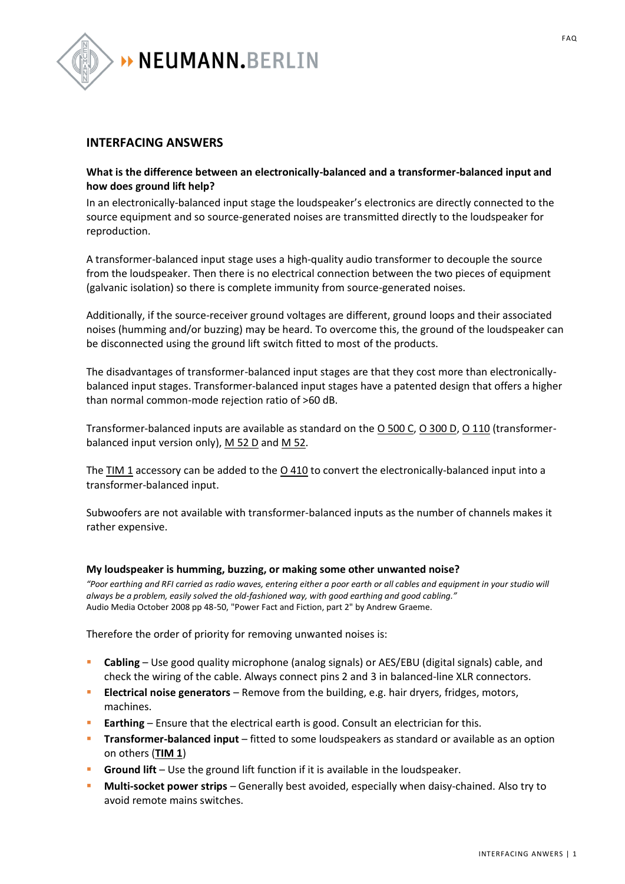

# **INTERFACING ANSWERS**

**What is the difference between an electronically-balanced and a transformer-balanced input and how does ground lift help?**

In an electronically-balanced input stage the loudspeaker's electronics are directly connected to the source equipment and so source-generated noises are transmitted directly to the loudspeaker for reproduction.

A transformer-balanced input stage uses a high-quality audio transformer to decouple the source from the loudspeaker. Then there is no electrical connection between the two pieces of equipment (galvanic isolation) so there is complete immunity from source-generated noises.

Additionally, if the source-receiver ground voltages are different, ground loops and their associated noises (humming and/or buzzing) may be heard. To overcome this, the ground of the loudspeaker can be disconnected using the ground lift switch fitted to most of the products.

The disadvantages of transformer-balanced input stages are that they cost more than electronicallybalanced input stages. Transformer-balanced input stages have a patented design that offers a higher than normal common-mode rejection ratio of >60 dB.

Transformer-balanced inputs are available as standard on the  $O$  500 C, [O 300 D,](http://www.neumann-kh-line.com/neumann-kh/home_en.nsf/root/prof-monitoring_discontinued-monitors_studio-products_O300D) [O 110](http://www.neumann-kh-line.com/neumann-kh/home_en.nsf/root/prof-monitoring_discontinued-monitors_studio-products_O110) (transformerbalanced input version only), [M 52 D](http://www.neumann-kh-line.com/neumann-kh/home_en.nsf/root/prof-monitoring_discontinued-monitors_studio-products_M52D) and [M 52.](http://www.neumann-kh-line.com/neumann-kh/home_en.nsf/root/prof-monitoring_discontinued-monitors_studio-products_M52)

The  $TIM 1$  accessory can be added to the  $\underline{O$  410 to convert the electronically-balanced input into a</u> transformer-balanced input.

Subwoofers are not available with transformer-balanced inputs as the number of channels makes it rather expensive.

#### **My loudspeaker is humming, buzzing, or making some other unwanted noise?**

*"Poor earthing and RFI carried as radio waves, entering either a poor earth or all cables and equipment in your studio will always be a problem, easily solved the old-fashioned way, with good earthing and good cabling."* Audio Media October 2008 pp 48-50, "Power Fact and Fiction, part 2" by Andrew Graeme.

Therefore the order of priority for removing unwanted noises is:

- **Cabling** Use good quality microphone (analog signals) or AES/EBU (digital signals) cable, and check the wiring of the cable. Always connect pins 2 and 3 in balanced-line XLR connectors.
- **Electrical noise generators** Remove from the building, e.g. hair dryers, fridges, motors, machines.
- **Earthing** Ensure that the electrical earth is good. Consult an electrician for this.
- **Transformer-balanced input** fitted to some loudspeakers as standard or available as an option on others (**[TIM 1](http://www.neumann-kh-line.com/neumann-kh/home_en.nsf/HTMLProduct)**)
- **Ground lift** Use the ground lift function if it is available in the loudspeaker.
- **E** Multi-socket power strips Generally best avoided, especially when daisy-chained. Also try to avoid remote mains switches.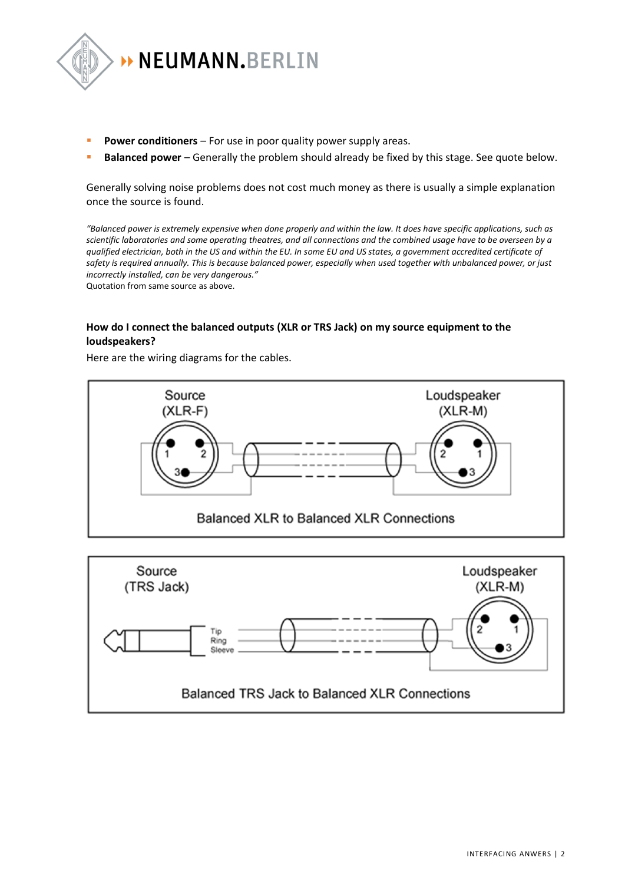

- **Power conditioners** For use in poor quality power supply areas.
- **Example 2 Balanced power** Generally the problem should already be fixed by this stage. See quote below.

Generally solving noise problems does not cost much money as there is usually a simple explanation once the source is found.

*"Balanced power is extremely expensive when done properly and within the law. It does have specific applications, such as scientific laboratories and some operating theatres, and all connections and the combined usage have to be overseen by a qualified electrician, both in the US and within the EU. In some EU and US states, a government accredited certificate of safety is required annually. This is because balanced power, especially when used together with unbalanced power, or just incorrectly installed, can be very dangerous."* Quotation from same source as above.

# **How do I connect the balanced outputs (XLR or TRS Jack) on my source equipment to the loudspeakers?**



Here are the wiring diagrams for the cables.

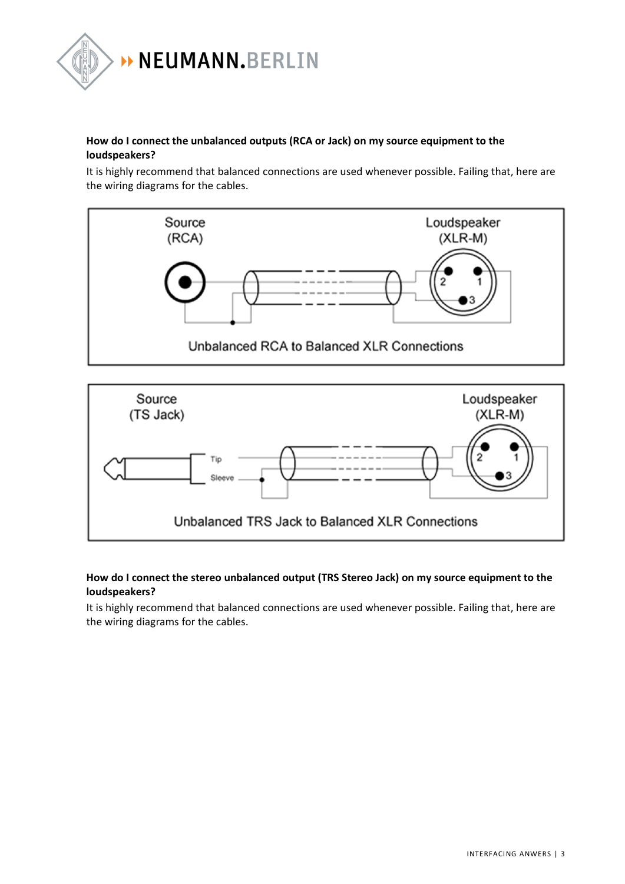

# **How do I connect the unbalanced outputs (RCA or Jack) on my source equipment to the loudspeakers?**

It is highly recommend that balanced connections are used whenever possible. Failing that, here are the wiring diagrams for the cables.





# **How do I connect the stereo unbalanced output (TRS Stereo Jack) on my source equipment to the loudspeakers?**

It is highly recommend that balanced connections are used whenever possible. Failing that, here are the wiring diagrams for the cables.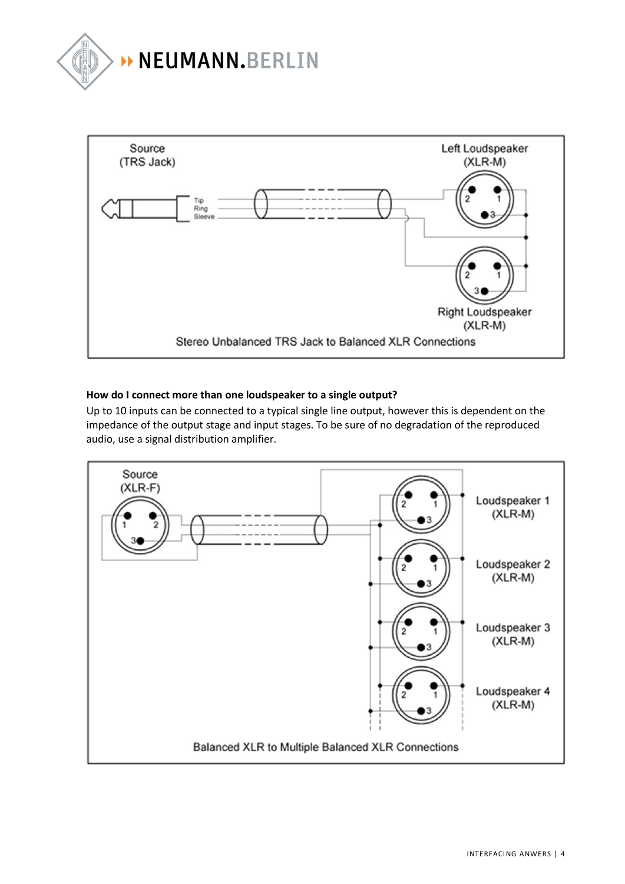



# **How do I connect more than one loudspeaker to a single output?**

Up to 10 inputs can be connected to a typical single line output, however this is dependent on the impedance of the output stage and input stages. To be sure of no degradation of the reproduced audio, use a signal distribution amplifier.

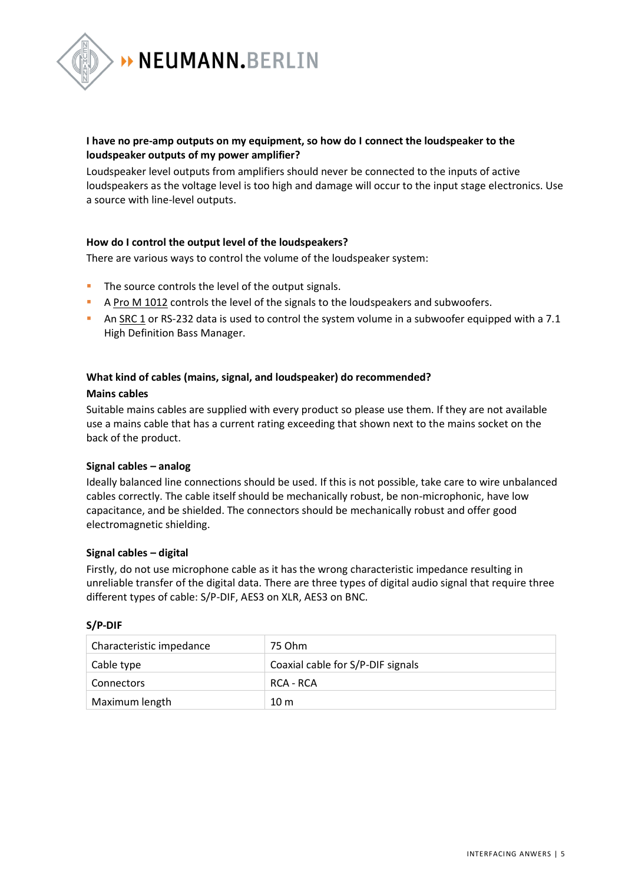

# **I have no pre-amp outputs on my equipment, so how do I connect the loudspeaker to the loudspeaker outputs of my power amplifier?**

Loudspeaker level outputs from amplifiers should never be connected to the inputs of active loudspeakers as the voltage level is too high and damage will occur to the input stage electronics. Use a source with line-level outputs.

# **How do I control the output level of the loudspeakers?**

There are various ways to control the volume of the loudspeaker system:

- The source controls the level of the output signals.
- **A [Pro M 1012](http://www.neumann-kh-line.com/neumann-kh/home_en.nsf/root/prof-monitoring_discontinued-monitors_studio-products_ProM1012_20160312164402) controls the level of the signals to the loudspeakers and subwoofers.**
- **•** An [SRC 1](http://www.neumann-kh-line.com/neumann-kh/home_en.nsf/HTMLProduct?ReadForm&path=prof-monitoring&accid=27B4521B67008E44C12573EC003D85D6) or RS-232 data is used to control the system volume in a subwoofer equipped with a 7.1 High Definition Bass Manager.

## **What kind of cables (mains, signal, and loudspeaker) do recommended?**

#### **Mains cables**

Suitable mains cables are supplied with every product so please use them. If they are not available use a mains cable that has a current rating exceeding that shown next to the mains socket on the back of the product.

## **Signal cables – analog**

Ideally balanced line connections should be used. If this is not possible, take care to wire unbalanced cables correctly. The cable itself should be mechanically robust, be non-microphonic, have low capacitance, and be shielded. The connectors should be mechanically robust and offer good electromagnetic shielding.

## **Signal cables – digital**

Firstly, do not use microphone cable as it has the wrong characteristic impedance resulting in unreliable transfer of the digital data. There are three types of digital audio signal that require three different types of cable: S/P-DIF, AES3 on XLR, AES3 on BNC.

#### **S/P-DIF**

| Characteristic impedance | 75 Ohm                            |
|--------------------------|-----------------------------------|
| Cable type               | Coaxial cable for S/P-DIF signals |
| <b>Connectors</b>        | RCA - RCA                         |
| Maximum length           | 10 <sub>m</sub>                   |